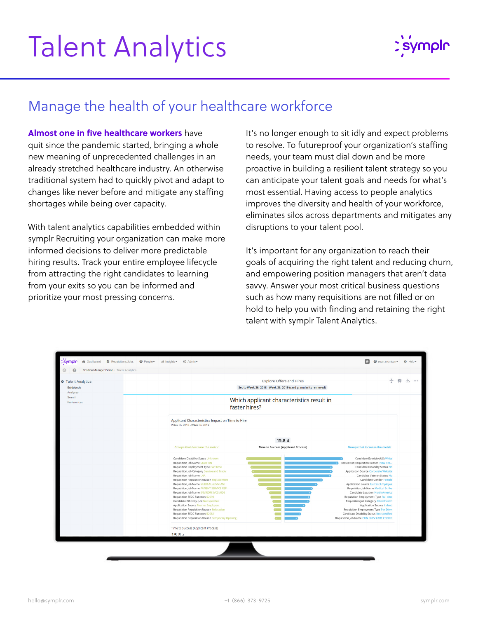## Talent Analytics



## Manage the health of your healthcare workforce

**[Almost one in five healthcare workers](https://www.theatlantic.com/health/archive/2021/11/the-mass-exodus-of-americas-health-care-workers/620713/)** have quit since the pandemic started, bringing a whole new meaning of unprecedented challenges in an already stretched healthcare industry. An otherwise traditional system had to quickly pivot and adapt to changes like never before and mitigate any staffing shortages while being over capacity.

With talent analytics capabilities embedded within symplr Recruiting your organization can make more informed decisions to deliver more predictable hiring results. Track your entire employee lifecycle from attracting the right candidates to learning from your exits so you can be informed and prioritize your most pressing concerns.

It's no longer enough to sit idly and expect problems to resolve. To futureproof your organization's staffing needs, your team must dial down and be more proactive in building a resilient talent strategy so you can anticipate your talent goals and needs for what's most essential. Having access to people analytics improves the diversity and health of your workforce, eliminates silos across departments and mitigates any disruptions to your talent pool.

It's important for any organization to reach their goals of acquiring the right talent and reducing churn, and empowering position managers that aren't data savvy. Answer your most critical business questions such as how many requisitions are not filled or on hold to help you with finding and retaining the right talent with symplr Talent Analytics.

| G<br>ค<br>Position Manager Demo / Talent Analytics                 |                                                                                                                                                                                                                                                 |                                                                                                    |                                                                                                                                                                                                                                       |  |
|--------------------------------------------------------------------|-------------------------------------------------------------------------------------------------------------------------------------------------------------------------------------------------------------------------------------------------|----------------------------------------------------------------------------------------------------|---------------------------------------------------------------------------------------------------------------------------------------------------------------------------------------------------------------------------------------|--|
| Talent Analytics<br>Guidebook<br>Analyses<br>Search<br>Preferences |                                                                                                                                                                                                                                                 | <b>Explore Offers and Hires</b><br>Set to Week 36, 2018 - Week 36, 2019 (card granularity removed) | ÷<br>喫<br>支<br>0.0.0                                                                                                                                                                                                                  |  |
|                                                                    | Which applicant characteristics result in<br>faster hires?                                                                                                                                                                                      |                                                                                                    |                                                                                                                                                                                                                                       |  |
|                                                                    | Applicant Characteristics Impact on Time to Hire<br>Week 36, 2018 - Week 36, 2019                                                                                                                                                               |                                                                                                    |                                                                                                                                                                                                                                       |  |
|                                                                    | Groups that decrease the metric                                                                                                                                                                                                                 | 15.8 d<br><b>Time to Success (Applicant Process)</b>                                               | <b>Groups that increase the metric</b>                                                                                                                                                                                                |  |
|                                                                    | Candidate Disability Status Unknown<br>Requisition Job Name STAFF RN<br>Requisition Employment Type Part time<br>Requisition Job Category Service and Trade<br>Requisition Job Name LNA<br>Requisition Requisition Reason Replacement           |                                                                                                    | Candidate Ethnicity (US) White<br>Requisition Requisition Reason New Pos<br>Candidate Disability Status No<br>Application Source Corporate Website<br>Candidate Veteran Status No<br>Candidate Gender Female                          |  |
|                                                                    | Requisition Job Name MEDICAL ASSISTANT<br>Requisition Job Name PATIENT SERVICE REP<br>Requisition Job Name ENVIRON SVCS AIDE<br>Requisition EEOC Function 52093<br>Candidate Ethnicity (US) Not specified<br>Application Source Former Employee |                                                                                                    | <b>Application Source Current Employee</b><br>Requisition Job Name Medical Scribe<br>Candidate Location North America<br>Requisition Employment Type Full time<br>Requisition Job Category Allied Health<br>Application Source Indeed |  |
|                                                                    | Requisition Requisition Reason Relocation<br>Requisition EEOC Function 52082<br>Requisition Requisition Reason Temporary Opening                                                                                                                |                                                                                                    | Requisition Employment Type Per Diem<br>Candidate Disability Status Not specified<br>Requisition Job Name CLIN SUPV CARE COORD                                                                                                        |  |
|                                                                    | Time to Success (Applicant Process)<br>15R <sub>4</sub>                                                                                                                                                                                         |                                                                                                    |                                                                                                                                                                                                                                       |  |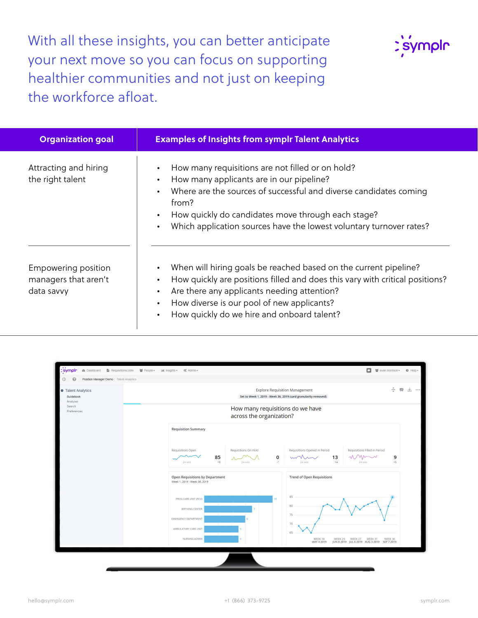With all these insights, you can better anticipate your next move so you can focus on supporting healthier communities and not just on keeping the workforce afloat.



| <b>Organization goal</b>                                  | <b>Examples of Insights from symplr Talent Analytics</b>                                                                                                                                                                                                                                                                                                                 |
|-----------------------------------------------------------|--------------------------------------------------------------------------------------------------------------------------------------------------------------------------------------------------------------------------------------------------------------------------------------------------------------------------------------------------------------------------|
| Attracting and hiring<br>the right talent                 | How many requisitions are not filled or on hold?<br>$\bullet$<br>How many applicants are in our pipeline?<br>$\bullet$<br>Where are the sources of successful and diverse candidates coming<br>$\bullet$<br>from?<br>How quickly do candidates move through each stage?<br>$\bullet$<br>Which application sources have the lowest voluntary turnover rates?<br>$\bullet$ |
| Empowering position<br>managers that aren't<br>data savvy | When will hiring goals be reached based on the current pipeline?<br>$\bullet$<br>How quickly are positions filled and does this vary with critical positions?<br>$\bullet$<br>Are there any applicants needing attention?<br>$\bullet$<br>How diverse is our pool of new applicants?<br>$\bullet$<br>How quickly do we hire and onboard talent?<br>$\bullet$             |

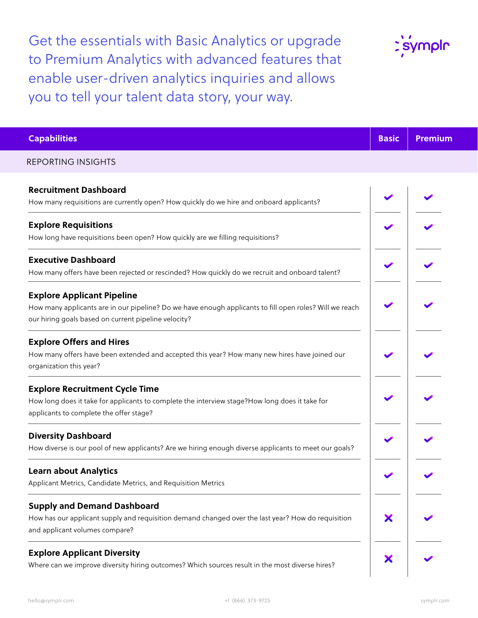Get the essentials with Basic Analytics or upgrade to Premium Analytics with advanced features that enable user-driven analytics inquiries and allows you to tell your talent data story, your way.



| <b>Capabilities</b>                                                                                                                                                                                  | <b>Basic</b> | <b>Premium</b> |
|------------------------------------------------------------------------------------------------------------------------------------------------------------------------------------------------------|--------------|----------------|
| <b>REPORTING INSIGHTS</b>                                                                                                                                                                            |              |                |
| <b>Recruitment Dashboard</b><br>How many requisitions are currently open? How quickly do we hire and onboard applicants?                                                                             |              |                |
| <b>Explore Requisitions</b><br>How long have requisitions been open? How quickly are we filling requisitions?                                                                                        |              |                |
| <b>Executive Dashboard</b><br>How many offers have been rejected or rescinded? How quickly do we recruit and onboard talent?                                                                         |              |                |
| <b>Explore Applicant Pipeline</b><br>How many applicants are in our pipeline? Do we have enough applicants to fill open roles? Will we reach<br>our hiring goals based on current pipeline velocity? |              |                |
| <b>Explore Offers and Hires</b><br>How many offers have been extended and accepted this year? How many new hires have joined our<br>organization this year?                                          |              |                |
| <b>Explore Recruitment Cycle Time</b><br>How long does it take for applicants to complete the interview stage?How long does it take for<br>applicants to complete the offer stage?                   |              |                |
| <b>Diversity Dashboard</b><br>How diverse is our pool of new applicants? Are we hiring enough diverse applicants to meet our goals?                                                                  |              |                |
| <b>Learn about Analytics</b><br>Applicant Metrics, Candidate Metrics, and Requisition Metrics                                                                                                        |              |                |
| <b>Supply and Demand Dashboard</b><br>How has our applicant supply and requisition demand changed over the last year? How do requisition<br>and applicant volumes compare?                           | Х            |                |
| <b>Explore Applicant Diversity</b><br>Where can we improve diversity hiring outcomes? Which sources result in the most diverse hires?                                                                | Х            |                |